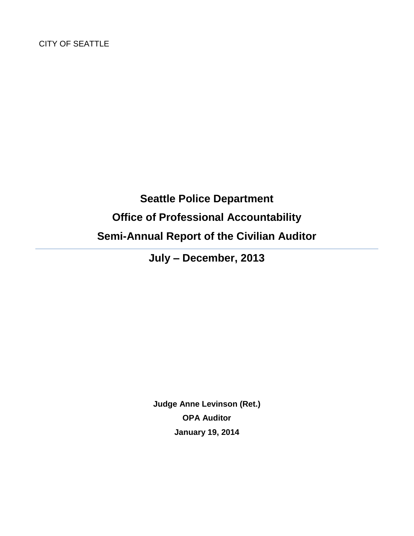# **Seattle Police Department Office of Professional Accountability Semi-Annual Report of the Civilian Auditor**

**July – December, 2013**

**Judge Anne Levinson (Ret.) OPA Auditor January 19, 2014**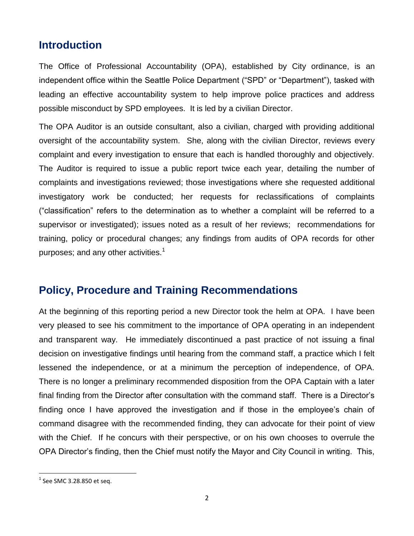### **Introduction**

The Office of Professional Accountability (OPA), established by City ordinance, is an independent office within the Seattle Police Department ("SPD" or "Department"), tasked with leading an effective accountability system to help improve police practices and address possible misconduct by SPD employees. It is led by a civilian Director.

The OPA Auditor is an outside consultant, also a civilian, charged with providing additional oversight of the accountability system. She, along with the civilian Director, reviews every complaint and every investigation to ensure that each is handled thoroughly and objectively. The Auditor is required to issue a public report twice each year, detailing the number of complaints and investigations reviewed; those investigations where she requested additional investigatory work be conducted; her requests for reclassifications of complaints ("classification" refers to the determination as to whether a complaint will be referred to a supervisor or investigated); issues noted as a result of her reviews; recommendations for training, policy or procedural changes; any findings from audits of OPA records for other purposes; and any other activities. $<sup>1</sup>$ </sup>

### **Policy, Procedure and Training Recommendations**

At the beginning of this reporting period a new Director took the helm at OPA. I have been very pleased to see his commitment to the importance of OPA operating in an independent and transparent way. He immediately discontinued a past practice of not issuing a final decision on investigative findings until hearing from the command staff, a practice which I felt lessened the independence, or at a minimum the perception of independence, of OPA. There is no longer a preliminary recommended disposition from the OPA Captain with a later final finding from the Director after consultation with the command staff. There is a Director's finding once I have approved the investigation and if those in the employee's chain of command disagree with the recommended finding, they can advocate for their point of view with the Chief. If he concurs with their perspective, or on his own chooses to overrule the OPA Director's finding, then the Chief must notify the Mayor and City Council in writing. This,

 $^1$  See SMC 3.28.850 et seq.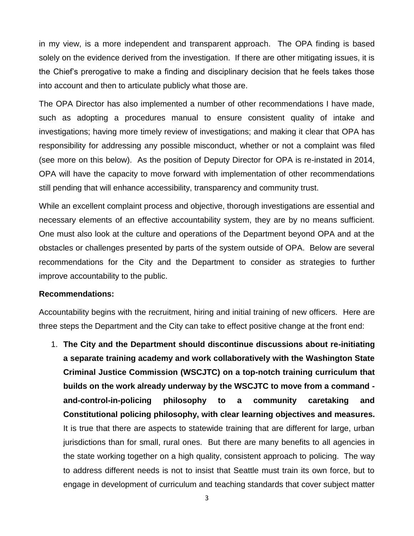in my view, is a more independent and transparent approach. The OPA finding is based solely on the evidence derived from the investigation. If there are other mitigating issues, it is the Chief's prerogative to make a finding and disciplinary decision that he feels takes those into account and then to articulate publicly what those are.

The OPA Director has also implemented a number of other recommendations I have made, such as adopting a procedures manual to ensure consistent quality of intake and investigations; having more timely review of investigations; and making it clear that OPA has responsibility for addressing any possible misconduct, whether or not a complaint was filed (see more on this below). As the position of Deputy Director for OPA is re-instated in 2014, OPA will have the capacity to move forward with implementation of other recommendations still pending that will enhance accessibility, transparency and community trust.

While an excellent complaint process and objective, thorough investigations are essential and necessary elements of an effective accountability system, they are by no means sufficient. One must also look at the culture and operations of the Department beyond OPA and at the obstacles or challenges presented by parts of the system outside of OPA. Below are several recommendations for the City and the Department to consider as strategies to further improve accountability to the public.

#### **Recommendations:**

Accountability begins with the recruitment, hiring and initial training of new officers. Here are three steps the Department and the City can take to effect positive change at the front end:

1. **The City and the Department should discontinue discussions about re-initiating a separate training academy and work collaboratively with the Washington State Criminal Justice Commission (WSCJTC) on a top-notch training curriculum that builds on the work already underway by the WSCJTC to move from a command and-control-in-policing philosophy to a community caretaking and Constitutional policing philosophy, with clear learning objectives and measures.**  It is true that there are aspects to statewide training that are different for large, urban jurisdictions than for small, rural ones. But there are many benefits to all agencies in the state working together on a high quality, consistent approach to policing. The way to address different needs is not to insist that Seattle must train its own force, but to engage in development of curriculum and teaching standards that cover subject matter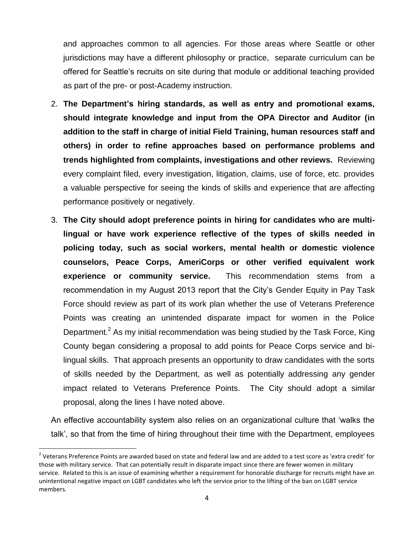and approaches common to all agencies. For those areas where Seattle or other jurisdictions may have a different philosophy or practice, separate curriculum can be offered for Seattle's recruits on site during that module or additional teaching provided as part of the pre- or post-Academy instruction.

- 2. **The Department's hiring standards, as well as entry and promotional exams, should integrate knowledge and input from the OPA Director and Auditor (in addition to the staff in charge of initial Field Training, human resources staff and others) in order to refine approaches based on performance problems and trends highlighted from complaints, investigations and other reviews.** Reviewing every complaint filed, every investigation, litigation, claims, use of force, etc. provides a valuable perspective for seeing the kinds of skills and experience that are affecting performance positively or negatively.
- 3. **The City should adopt preference points in hiring for candidates who are multilingual or have work experience reflective of the types of skills needed in policing today, such as social workers, mental health or domestic violence counselors, Peace Corps, AmeriCorps or other verified equivalent work experience or community service.** This recommendation stems from a recommendation in my August 2013 report that the City's Gender Equity in Pay Task Force should review as part of its work plan whether the use of Veterans Preference Points was creating an unintended disparate impact for women in the Police Department.<sup>2</sup> As my initial recommendation was being studied by the Task Force, King County began considering a proposal to add points for Peace Corps service and bilingual skills. That approach presents an opportunity to draw candidates with the sorts of skills needed by the Department, as well as potentially addressing any gender impact related to Veterans Preference Points. The City should adopt a similar proposal, along the lines I have noted above.

An effective accountability system also relies on an organizational culture that 'walks the talk', so that from the time of hiring throughout their time with the Department, employees

 $^2$  Veterans Preference Points are awarded based on state and federal law and are added to a test score as 'extra credit' for those with military service. That can potentially result in disparate impact since there are fewer women in military service. Related to this is an issue of examining whether a requirement for honorable discharge for recruits might have an unintentional negative impact on LGBT candidates who left the service prior to the lifting of the ban on LGBT service members.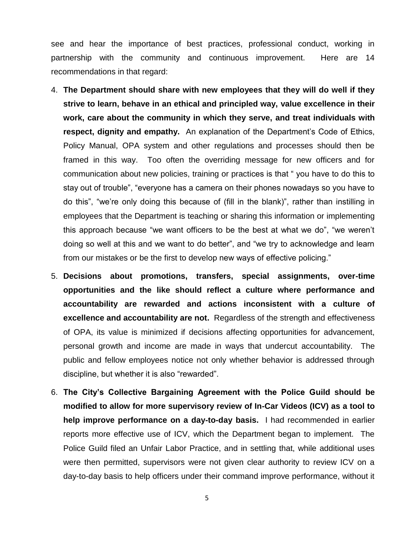see and hear the importance of best practices, professional conduct, working in partnership with the community and continuous improvement. Here are 14 recommendations in that regard:

- 4. **The Department should share with new employees that they will do well if they strive to learn, behave in an ethical and principled way, value excellence in their work, care about the community in which they serve, and treat individuals with respect, dignity and empathy.** An explanation of the Department's Code of Ethics, Policy Manual, OPA system and other regulations and processes should then be framed in this way. Too often the overriding message for new officers and for communication about new policies, training or practices is that " you have to do this to stay out of trouble", "everyone has a camera on their phones nowadays so you have to do this", "we're only doing this because of (fill in the blank)", rather than instilling in employees that the Department is teaching or sharing this information or implementing this approach because "we want officers to be the best at what we do", "we weren't doing so well at this and we want to do better", and "we try to acknowledge and learn from our mistakes or be the first to develop new ways of effective policing."
- 5. **Decisions about promotions, transfers, special assignments, over-time opportunities and the like should reflect a culture where performance and accountability are rewarded and actions inconsistent with a culture of excellence and accountability are not.** Regardless of the strength and effectiveness of OPA, its value is minimized if decisions affecting opportunities for advancement, personal growth and income are made in ways that undercut accountability. The public and fellow employees notice not only whether behavior is addressed through discipline, but whether it is also "rewarded".
- 6. **The City's Collective Bargaining Agreement with the Police Guild should be modified to allow for more supervisory review of In-Car Videos (ICV) as a tool to help improve performance on a day-to-day basis.** I had recommended in earlier reports more effective use of ICV, which the Department began to implement. The Police Guild filed an Unfair Labor Practice, and in settling that, while additional uses were then permitted, supervisors were not given clear authority to review ICV on a day-to-day basis to help officers under their command improve performance, without it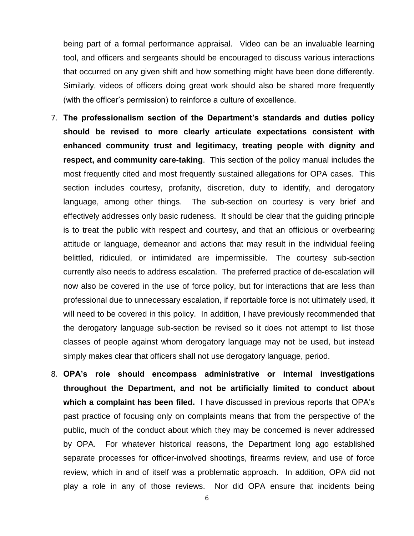being part of a formal performance appraisal. Video can be an invaluable learning tool, and officers and sergeants should be encouraged to discuss various interactions that occurred on any given shift and how something might have been done differently. Similarly, videos of officers doing great work should also be shared more frequently (with the officer's permission) to reinforce a culture of excellence.

- 7. **The professionalism section of the Department's standards and duties policy should be revised to more clearly articulate expectations consistent with enhanced community trust and legitimacy, treating people with dignity and respect, and community care-taking**. This section of the policy manual includes the most frequently cited and most frequently sustained allegations for OPA cases. This section includes courtesy, profanity, discretion, duty to identify, and derogatory language, among other things. The sub-section on courtesy is very brief and effectively addresses only basic rudeness. It should be clear that the guiding principle is to treat the public with respect and courtesy, and that an officious or overbearing attitude or language, demeanor and actions that may result in the individual feeling belittled, ridiculed, or intimidated are impermissible. The courtesy sub-section currently also needs to address escalation. The preferred practice of de-escalation will now also be covered in the use of force policy, but for interactions that are less than professional due to unnecessary escalation, if reportable force is not ultimately used, it will need to be covered in this policy. In addition, I have previously recommended that the derogatory language sub-section be revised so it does not attempt to list those classes of people against whom derogatory language may not be used, but instead simply makes clear that officers shall not use derogatory language, period.
- 8. **OPA's role should encompass administrative or internal investigations throughout the Department, and not be artificially limited to conduct about which a complaint has been filed.** I have discussed in previous reports that OPA's past practice of focusing only on complaints means that from the perspective of the public, much of the conduct about which they may be concerned is never addressed by OPA. For whatever historical reasons, the Department long ago established separate processes for officer-involved shootings, firearms review, and use of force review, which in and of itself was a problematic approach. In addition, OPA did not play a role in any of those reviews. Nor did OPA ensure that incidents being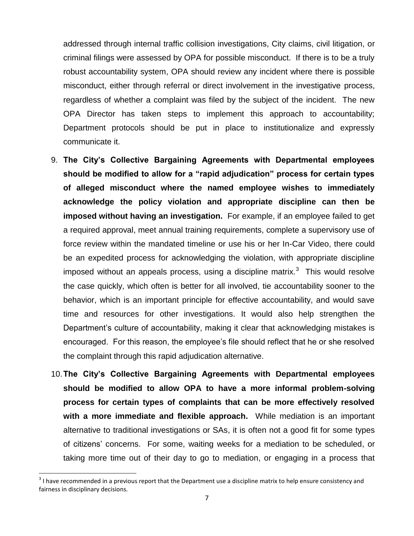addressed through internal traffic collision investigations, City claims, civil litigation, or criminal filings were assessed by OPA for possible misconduct. If there is to be a truly robust accountability system, OPA should review any incident where there is possible misconduct, either through referral or direct involvement in the investigative process, regardless of whether a complaint was filed by the subject of the incident. The new OPA Director has taken steps to implement this approach to accountability; Department protocols should be put in place to institutionalize and expressly communicate it.

- 9. **The City's Collective Bargaining Agreements with Departmental employees should be modified to allow for a "rapid adjudication" process for certain types of alleged misconduct where the named employee wishes to immediately acknowledge the policy violation and appropriate discipline can then be imposed without having an investigation.** For example, if an employee failed to get a required approval, meet annual training requirements, complete a supervisory use of force review within the mandated timeline or use his or her In-Car Video, there could be an expedited process for acknowledging the violation, with appropriate discipline imposed without an appeals process, using a discipline matrix.<sup>3</sup> This would resolve the case quickly, which often is better for all involved, tie accountability sooner to the behavior, which is an important principle for effective accountability, and would save time and resources for other investigations. It would also help strengthen the Department's culture of accountability, making it clear that acknowledging mistakes is encouraged. For this reason, the employee's file should reflect that he or she resolved the complaint through this rapid adjudication alternative.
- 10.**The City's Collective Bargaining Agreements with Departmental employees should be modified to allow OPA to have a more informal problem-solving process for certain types of complaints that can be more effectively resolved with a more immediate and flexible approach.** While mediation is an important alternative to traditional investigations or SAs, it is often not a good fit for some types of citizens' concerns. For some, waiting weeks for a mediation to be scheduled, or taking more time out of their day to go to mediation, or engaging in a process that

 $3$  I have recommended in a previous report that the Department use a discipline matrix to help ensure consistency and fairness in disciplinary decisions.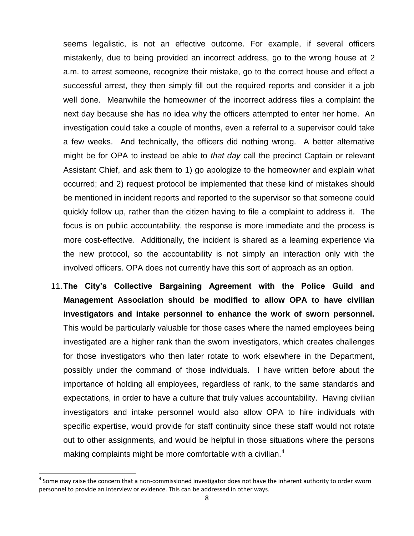seems legalistic, is not an effective outcome. For example, if several officers mistakenly, due to being provided an incorrect address, go to the wrong house at 2 a.m. to arrest someone, recognize their mistake, go to the correct house and effect a successful arrest, they then simply fill out the required reports and consider it a job well done. Meanwhile the homeowner of the incorrect address files a complaint the next day because she has no idea why the officers attempted to enter her home. An investigation could take a couple of months, even a referral to a supervisor could take a few weeks. And technically, the officers did nothing wrong. A better alternative might be for OPA to instead be able to *that day* call the precinct Captain or relevant Assistant Chief, and ask them to 1) go apologize to the homeowner and explain what occurred; and 2) request protocol be implemented that these kind of mistakes should be mentioned in incident reports and reported to the supervisor so that someone could quickly follow up, rather than the citizen having to file a complaint to address it. The focus is on public accountability, the response is more immediate and the process is more cost-effective. Additionally, the incident is shared as a learning experience via the new protocol, so the accountability is not simply an interaction only with the involved officers. OPA does not currently have this sort of approach as an option.

11.**The City's Collective Bargaining Agreement with the Police Guild and Management Association should be modified to allow OPA to have civilian investigators and intake personnel to enhance the work of sworn personnel.**  This would be particularly valuable for those cases where the named employees being investigated are a higher rank than the sworn investigators, which creates challenges for those investigators who then later rotate to work elsewhere in the Department, possibly under the command of those individuals. I have written before about the importance of holding all employees, regardless of rank, to the same standards and expectations, in order to have a culture that truly values accountability. Having civilian investigators and intake personnel would also allow OPA to hire individuals with specific expertise, would provide for staff continuity since these staff would not rotate out to other assignments, and would be helpful in those situations where the persons making complaints might be more comfortable with a civilian. $4$ 

 $^4$  Some may raise the concern that a non-commissioned investigator does not have the inherent authority to order sworn personnel to provide an interview or evidence. This can be addressed in other ways.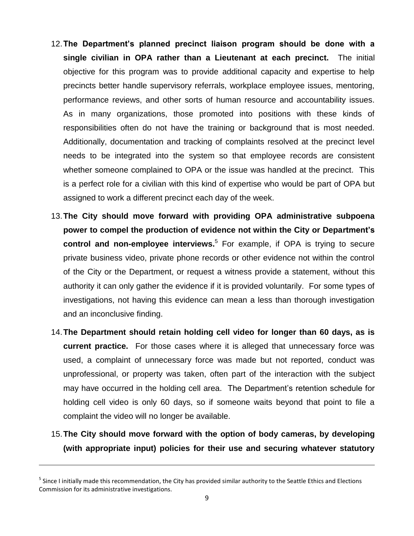- 12.**The Department's planned precinct liaison program should be done with a single civilian in OPA rather than a Lieutenant at each precinct.** The initial objective for this program was to provide additional capacity and expertise to help precincts better handle supervisory referrals, workplace employee issues, mentoring, performance reviews, and other sorts of human resource and accountability issues. As in many organizations, those promoted into positions with these kinds of responsibilities often do not have the training or background that is most needed. Additionally, documentation and tracking of complaints resolved at the precinct level needs to be integrated into the system so that employee records are consistent whether someone complained to OPA or the issue was handled at the precinct. This is a perfect role for a civilian with this kind of expertise who would be part of OPA but assigned to work a different precinct each day of the week.
- 13.**The City should move forward with providing OPA administrative subpoena power to compel the production of evidence not within the City or Department's control and non-employee interviews.**<sup>5</sup> For example, if OPA is trying to secure private business video, private phone records or other evidence not within the control of the City or the Department, or request a witness provide a statement, without this authority it can only gather the evidence if it is provided voluntarily. For some types of investigations, not having this evidence can mean a less than thorough investigation and an inconclusive finding.
- 14.**The Department should retain holding cell video for longer than 60 days, as is current practice.** For those cases where it is alleged that unnecessary force was used, a complaint of unnecessary force was made but not reported, conduct was unprofessional, or property was taken, often part of the interaction with the subject may have occurred in the holding cell area. The Department's retention schedule for holding cell video is only 60 days, so if someone waits beyond that point to file a complaint the video will no longer be available.
- 15.**The City should move forward with the option of body cameras, by developing (with appropriate input) policies for their use and securing whatever statutory**

<sup>&</sup>lt;sup>5</sup> Since I initially made this recommendation, the City has provided similar authority to the Seattle Ethics and Elections Commission for its administrative investigations.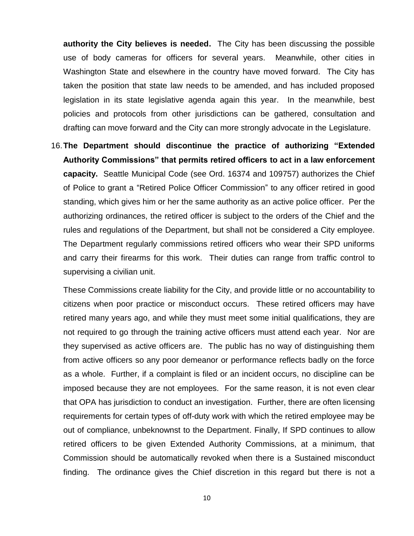**authority the City believes is needed.** The City has been discussing the possible use of body cameras for officers for several years. Meanwhile, other cities in Washington State and elsewhere in the country have moved forward. The City has taken the position that state law needs to be amended, and has included proposed legislation in its state legislative agenda again this year. In the meanwhile, best policies and protocols from other jurisdictions can be gathered, consultation and drafting can move forward and the City can more strongly advocate in the Legislature.

16.**The Department should discontinue the practice of authorizing "Extended Authority Commissions" that permits retired officers to act in a law enforcement capacity.** Seattle Municipal Code (see Ord. 16374 and 109757) authorizes the Chief of Police to grant a "Retired Police Officer Commission" to any officer retired in good standing, which gives him or her the same authority as an active police officer. Per the authorizing ordinances, the retired officer is subject to the orders of the Chief and the rules and regulations of the Department, but shall not be considered a City employee. The Department regularly commissions retired officers who wear their SPD uniforms and carry their firearms for this work. Their duties can range from traffic control to supervising a civilian unit.

These Commissions create liability for the City, and provide little or no accountability to citizens when poor practice or misconduct occurs. These retired officers may have retired many years ago, and while they must meet some initial qualifications, they are not required to go through the training active officers must attend each year. Nor are they supervised as active officers are. The public has no way of distinguishing them from active officers so any poor demeanor or performance reflects badly on the force as a whole. Further, if a complaint is filed or an incident occurs, no discipline can be imposed because they are not employees. For the same reason, it is not even clear that OPA has jurisdiction to conduct an investigation. Further, there are often licensing requirements for certain types of off-duty work with which the retired employee may be out of compliance, unbeknownst to the Department. Finally, If SPD continues to allow retired officers to be given Extended Authority Commissions, at a minimum, that Commission should be automatically revoked when there is a Sustained misconduct finding. The ordinance gives the Chief discretion in this regard but there is not a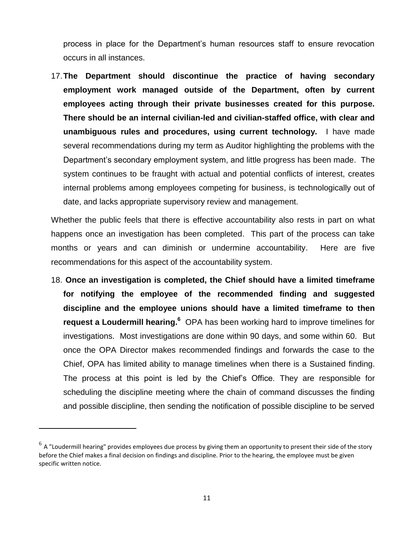process in place for the Department's human resources staff to ensure revocation occurs in all instances.

17.**The Department should discontinue the practice of having secondary employment work managed outside of the Department, often by current employees acting through their private businesses created for this purpose. There should be an internal civilian-led and civilian-staffed office, with clear and unambiguous rules and procedures, using current technology.** I have made several recommendations during my term as Auditor highlighting the problems with the Department's secondary employment system, and little progress has been made. The system continues to be fraught with actual and potential conflicts of interest, creates internal problems among employees competing for business, is technologically out of date, and lacks appropriate supervisory review and management.

Whether the public feels that there is effective accountability also rests in part on what happens once an investigation has been completed. This part of the process can take months or years and can diminish or undermine accountability. Here are five recommendations for this aspect of the accountability system.

18. **Once an investigation is completed, the Chief should have a limited timeframe for notifying the employee of the recommended finding and suggested discipline and the employee unions should have a limited timeframe to then request a Loudermill hearing. <sup>6</sup>** OPA has been working hard to improve timelines for investigations. Most investigations are done within 90 days, and some within 60. But once the OPA Director makes recommended findings and forwards the case to the Chief, OPA has limited ability to manage timelines when there is a Sustained finding. The process at this point is led by the Chief's Office. They are responsible for scheduling the discipline meeting where the chain of command discusses the finding and possible discipline, then sending the notification of possible discipline to be served

 $^6$  A "Loudermill hearing" provides employees due process by giving them an opportunity to present their side of the story before the Chief makes a final decision on findings and discipline. Prior to the hearing, the employee must be given specific written notice.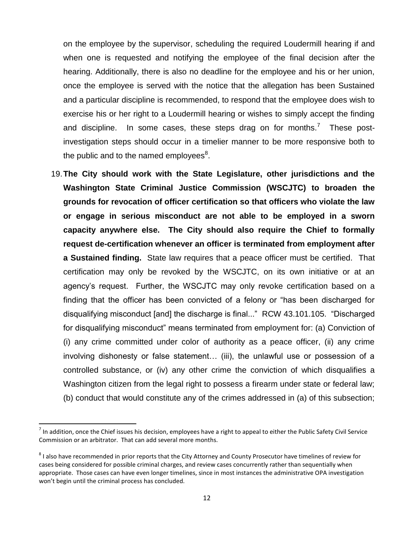on the employee by the supervisor, scheduling the required Loudermill hearing if and when one is requested and notifying the employee of the final decision after the hearing. Additionally, there is also no deadline for the employee and his or her union, once the employee is served with the notice that the allegation has been Sustained and a particular discipline is recommended, to respond that the employee does wish to exercise his or her right to a Loudermill hearing or wishes to simply accept the finding and discipline. In some cases, these steps drag on for months.<sup>7</sup> These postinvestigation steps should occur in a timelier manner to be more responsive both to the public and to the named employees<sup>8</sup>.

19.**The City should work with the State Legislature, other jurisdictions and the Washington State Criminal Justice Commission (WSCJTC) to broaden the grounds for revocation of officer certification so that officers who violate the law or engage in serious misconduct are not able to be employed in a sworn capacity anywhere else. The City should also require the Chief to formally request de-certification whenever an officer is terminated from employment after a Sustained finding.** State law requires that a peace officer must be certified. That certification may only be revoked by the WSCJTC, on its own initiative or at an agency's request. Further, the WSCJTC may only revoke certification based on a finding that the officer has been convicted of a felony or "has been discharged for disqualifying misconduct [and] the discharge is final..." RCW 43.101.105. "Discharged for disqualifying misconduct" means terminated from employment for: (a) Conviction of (i) any crime committed under color of authority as a peace officer, (ii) any crime involving dishonesty or false statement… (iii), the unlawful use or possession of a controlled substance, or (iv) any other crime the conviction of which disqualifies a Washington citizen from the legal right to possess a firearm under state or federal law; (b) conduct that would constitute any of the crimes addressed in (a) of this subsection;

 $^7$  In addition, once the Chief issues his decision, employees have a right to appeal to either the Public Safety Civil Service Commission or an arbitrator. That can add several more months.

 $^8$  I also have recommended in prior reports that the City Attorney and County Prosecutor have timelines of review for cases being considered for possible criminal charges, and review cases concurrently rather than sequentially when appropriate. Those cases can have even longer timelines, since in most instances the administrative OPA investigation won't begin until the criminal process has concluded.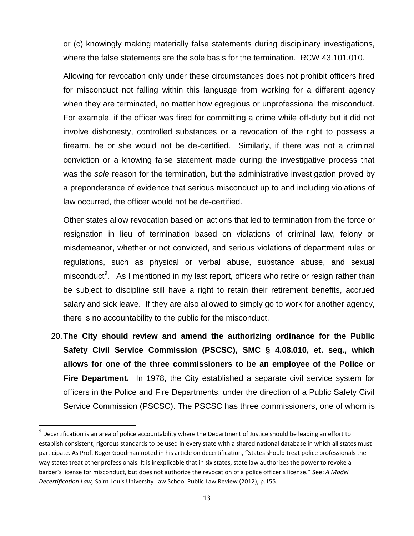or (c) knowingly making materially false statements during disciplinary investigations, where the false statements are the sole basis for the termination. RCW 43.101.010.

Allowing for revocation only under these circumstances does not prohibit officers fired for misconduct not falling within this language from working for a different agency when they are terminated, no matter how egregious or unprofessional the misconduct. For example, if the officer was fired for committing a crime while off-duty but it did not involve dishonesty, controlled substances or a revocation of the right to possess a firearm, he or she would not be de-certified. Similarly, if there was not a criminal conviction or a knowing false statement made during the investigative process that was the *sole* reason for the termination, but the administrative investigation proved by a preponderance of evidence that serious misconduct up to and including violations of law occurred, the officer would not be de-certified.

Other states allow revocation based on actions that led to termination from the force or resignation in lieu of termination based on violations of criminal law, felony or misdemeanor, whether or not convicted, and serious violations of department rules or regulations, such as physical or verbal abuse, substance abuse, and sexual misconduct<sup>9</sup>. As I mentioned in my last report, officers who retire or resign rather than be subject to discipline still have a right to retain their retirement benefits, accrued salary and sick leave. If they are also allowed to simply go to work for another agency, there is no accountability to the public for the misconduct.

20.**The City should review and amend the authorizing ordinance for the Public Safety Civil Service Commission (PSCSC), SMC § 4.08.010, et. seq., which allows for one of the three commissioners to be an employee of the Police or Fire Department.** In 1978, the City established a separate civil service system for officers in the Police and Fire Departments, under the direction of a Public Safety Civil Service Commission (PSCSC). The PSCSC has three commissioners, one of whom is

<sup>&</sup>lt;sup>9</sup> Decertification is an area of police accountability where the Department of Justice should be leading an effort to establish consistent, rigorous standards to be used in every state with a shared national database in which all states must participate. As Prof. Roger Goodman noted in his article on decertification, "States should treat police professionals the way states treat other professionals. It is inexplicable that in six states, state law authorizes the power to revoke a barber's license for misconduct, but does not authorize the revocation of a police officer's license." See: *A Model Decertification Law,* Saint Louis University Law School Public Law Review (2012), p.155.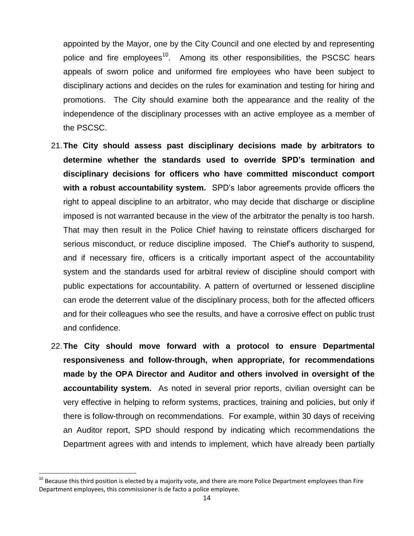appointed by the Mayor, one by the City Council and one elected by and representing police and fire employees<sup>10</sup>. Among its other responsibilities, the PSCSC hears appeals of sworn police and uniformed fire employees who have been subject to disciplinary actions and decides on the rules for examination and testing for hiring and promotions. The City should examine both the appearance and the reality of the independence of the disciplinary processes with an active employee as a member of the PSCSC.

- 21.**The City should assess past disciplinary decisions made by arbitrators to determine whether the standards used to override SPD's termination and disciplinary decisions for officers who have committed misconduct comport with a robust accountability system.** SPD's labor agreements provide officers the right to appeal discipline to an arbitrator, who may decide that discharge or discipline imposed is not warranted because in the view of the arbitrator the penalty is too harsh. That may then result in the Police Chief having to reinstate officers discharged for serious misconduct, or reduce discipline imposed. The Chief's authority to suspend, and if necessary fire, officers is a critically important aspect of the accountability system and the standards used for arbitral review of discipline should comport with public expectations for accountability. A pattern of overturned or lessened discipline can erode the deterrent value of the disciplinary process, both for the affected officers and for their colleagues who see the results, and have a corrosive effect on public trust and confidence.
- 22.**The City should move forward with a protocol to ensure Departmental responsiveness and follow-through, when appropriate, for recommendations made by the OPA Director and Auditor and others involved in oversight of the accountability system.** As noted in several prior reports, civilian oversight can be very effective in helping to reform systems, practices, training and policies, but only if there is follow-through on recommendations. For example, within 30 days of receiving an Auditor report, SPD should respond by indicating which recommendations the Department agrees with and intends to implement, which have already been partially

 $10$  Because this third position is elected by a majority vote, and there are more Police Department employees than Fire Department employees, this commissioner is de facto a police employee.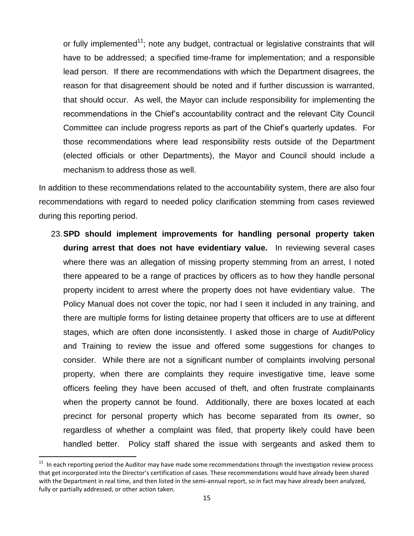or fully implemented<sup>11</sup>; note any budget, contractual or legislative constraints that will have to be addressed; a specified time-frame for implementation; and a responsible lead person. If there are recommendations with which the Department disagrees, the reason for that disagreement should be noted and if further discussion is warranted, that should occur. As well, the Mayor can include responsibility for implementing the recommendations in the Chief's accountability contract and the relevant City Council Committee can include progress reports as part of the Chief's quarterly updates. For those recommendations where lead responsibility rests outside of the Department (elected officials or other Departments), the Mayor and Council should include a mechanism to address those as well.

In addition to these recommendations related to the accountability system, there are also four recommendations with regard to needed policy clarification stemming from cases reviewed during this reporting period.

23.**SPD should implement improvements for handling personal property taken during arrest that does not have evidentiary value.** In reviewing several cases where there was an allegation of missing property stemming from an arrest, I noted there appeared to be a range of practices by officers as to how they handle personal property incident to arrest where the property does not have evidentiary value. The Policy Manual does not cover the topic, nor had I seen it included in any training, and there are multiple forms for listing detainee property that officers are to use at different stages, which are often done inconsistently. I asked those in charge of Audit/Policy and Training to review the issue and offered some suggestions for changes to consider. While there are not a significant number of complaints involving personal property, when there are complaints they require investigative time, leave some officers feeling they have been accused of theft, and often frustrate complainants when the property cannot be found. Additionally, there are boxes located at each precinct for personal property which has become separated from its owner, so regardless of whether a complaint was filed, that property likely could have been handled better. Policy staff shared the issue with sergeants and asked them to

 $11$  In each reporting period the Auditor may have made some recommendations through the investigation review process that get incorporated into the Director's certification of cases. These recommendations would have already been shared with the Department in real time, and then listed in the semi-annual report, so in fact may have already been analyzed, fully or partially addressed, or other action taken.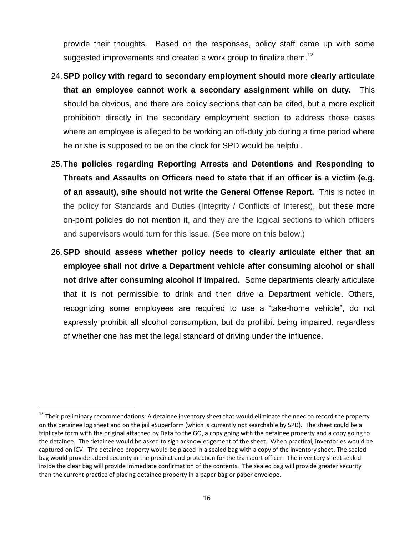provide their thoughts. Based on the responses, policy staff came up with some suggested improvements and created a work group to finalize them.<sup>12</sup>

- 24.**SPD policy with regard to secondary employment should more clearly articulate that an employee cannot work a secondary assignment while on duty.** This should be obvious, and there are policy sections that can be cited, but a more explicit prohibition directly in the secondary employment section to address those cases where an employee is alleged to be working an off-duty job during a time period where he or she is supposed to be on the clock for SPD would be helpful.
- 25.**The policies regarding Reporting Arrests and Detentions and Responding to Threats and Assaults on Officers need to state that if an officer is a victim (e.g. of an assault), s/he should not write the General Offense Report.** This is noted in the policy for Standards and Duties (Integrity / Conflicts of Interest), but these more on-point policies do not mention it, and they are the logical sections to which officers and supervisors would turn for this issue. (See more on this below.)
- 26.**SPD should assess whether policy needs to clearly articulate either that an employee shall not drive a Department vehicle after consuming alcohol or shall not drive after consuming alcohol if impaired.** Some departments clearly articulate that it is not permissible to drink and then drive a Department vehicle. Others, recognizing some employees are required to use a 'take-home vehicle", do not expressly prohibit all alcohol consumption, but do prohibit being impaired, regardless of whether one has met the legal standard of driving under the influence.

<sup>&</sup>lt;sup>12</sup> Their preliminary recommendations: A detainee inventory sheet that would eliminate the need to record the property on the detainee log sheet and on the jail eSuperform (which is currently not searchable by SPD). The sheet could be a triplicate form with the original attached by Data to the GO, a copy going with the detainee property and a copy going to the detainee. The detainee would be asked to sign acknowledgement of the sheet. When practical, inventories would be captured on ICV. The detainee property would be placed in a sealed bag with a copy of the inventory sheet. The sealed bag would provide added security in the precinct and protection for the transport officer. The inventory sheet sealed inside the clear bag will provide immediate confirmation of the contents. The sealed bag will provide greater security than the current practice of placing detainee property in a paper bag or paper envelope.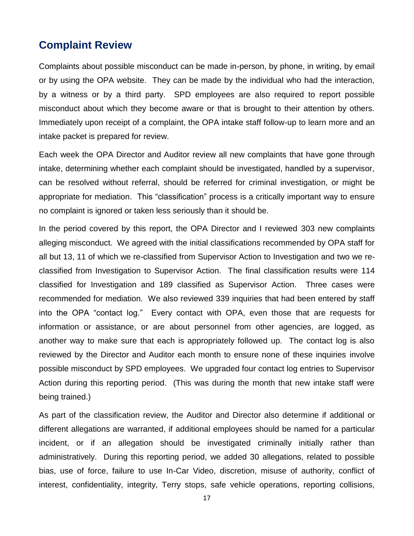### **Complaint Review**

Complaints about possible misconduct can be made in-person, by phone, in writing, by email or by using the OPA website. They can be made by the individual who had the interaction, by a witness or by a third party. SPD employees are also required to report possible misconduct about which they become aware or that is brought to their attention by others. Immediately upon receipt of a complaint, the OPA intake staff follow-up to learn more and an intake packet is prepared for review.

Each week the OPA Director and Auditor review all new complaints that have gone through intake, determining whether each complaint should be investigated, handled by a supervisor, can be resolved without referral, should be referred for criminal investigation, or might be appropriate for mediation. This "classification" process is a critically important way to ensure no complaint is ignored or taken less seriously than it should be.

In the period covered by this report, the OPA Director and I reviewed 303 new complaints alleging misconduct. We agreed with the initial classifications recommended by OPA staff for all but 13, 11 of which we re-classified from Supervisor Action to Investigation and two we reclassified from Investigation to Supervisor Action. The final classification results were 114 classified for Investigation and 189 classified as Supervisor Action. Three cases were recommended for mediation. We also reviewed 339 inquiries that had been entered by staff into the OPA "contact log." Every contact with OPA, even those that are requests for information or assistance, or are about personnel from other agencies, are logged, as another way to make sure that each is appropriately followed up. The contact log is also reviewed by the Director and Auditor each month to ensure none of these inquiries involve possible misconduct by SPD employees. We upgraded four contact log entries to Supervisor Action during this reporting period. (This was during the month that new intake staff were being trained.)

As part of the classification review, the Auditor and Director also determine if additional or different allegations are warranted, if additional employees should be named for a particular incident, or if an allegation should be investigated criminally initially rather than administratively. During this reporting period, we added 30 allegations, related to possible bias, use of force, failure to use In-Car Video, discretion, misuse of authority, conflict of interest, confidentiality, integrity, Terry stops, safe vehicle operations, reporting collisions,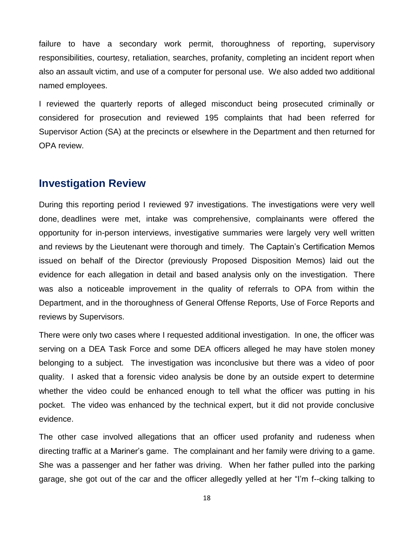failure to have a secondary work permit, thoroughness of reporting, supervisory responsibilities, courtesy, retaliation, searches, profanity, completing an incident report when also an assault victim, and use of a computer for personal use. We also added two additional named employees.

I reviewed the quarterly reports of alleged misconduct being prosecuted criminally or considered for prosecution and reviewed 195 complaints that had been referred for Supervisor Action (SA) at the precincts or elsewhere in the Department and then returned for OPA review.

### **Investigation Review**

During this reporting period I reviewed 97 investigations. The investigations were very well done, deadlines were met, intake was comprehensive, complainants were offered the opportunity for in-person interviews, investigative summaries were largely very well written and reviews by the Lieutenant were thorough and timely. The Captain's Certification Memos issued on behalf of the Director (previously Proposed Disposition Memos) laid out the evidence for each allegation in detail and based analysis only on the investigation. There was also a noticeable improvement in the quality of referrals to OPA from within the Department, and in the thoroughness of General Offense Reports, Use of Force Reports and reviews by Supervisors.

There were only two cases where I requested additional investigation. In one, the officer was serving on a DEA Task Force and some DEA officers alleged he may have stolen money belonging to a subject. The investigation was inconclusive but there was a video of poor quality. I asked that a forensic video analysis be done by an outside expert to determine whether the video could be enhanced enough to tell what the officer was putting in his pocket. The video was enhanced by the technical expert, but it did not provide conclusive evidence.

The other case involved allegations that an officer used profanity and rudeness when directing traffic at a Mariner's game. The complainant and her family were driving to a game. She was a passenger and her father was driving. When her father pulled into the parking garage, she got out of the car and the officer allegedly yelled at her "I'm f--cking talking to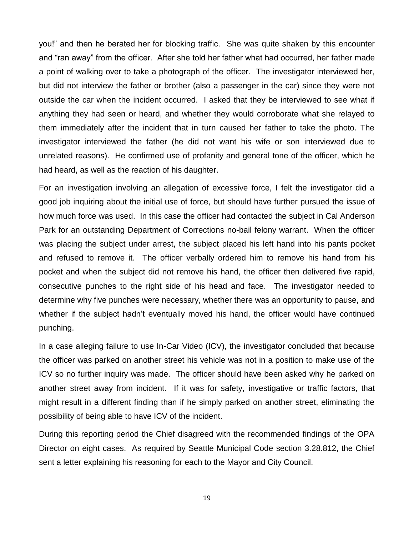you!" and then he berated her for blocking traffic. She was quite shaken by this encounter and "ran away" from the officer. After she told her father what had occurred, her father made a point of walking over to take a photograph of the officer. The investigator interviewed her, but did not interview the father or brother (also a passenger in the car) since they were not outside the car when the incident occurred. I asked that they be interviewed to see what if anything they had seen or heard, and whether they would corroborate what she relayed to them immediately after the incident that in turn caused her father to take the photo. The investigator interviewed the father (he did not want his wife or son interviewed due to unrelated reasons). He confirmed use of profanity and general tone of the officer, which he had heard, as well as the reaction of his daughter.

For an investigation involving an allegation of excessive force, I felt the investigator did a good job inquiring about the initial use of force, but should have further pursued the issue of how much force was used. In this case the officer had contacted the subject in Cal Anderson Park for an outstanding Department of Corrections no-bail felony warrant. When the officer was placing the subject under arrest, the subject placed his left hand into his pants pocket and refused to remove it. The officer verbally ordered him to remove his hand from his pocket and when the subject did not remove his hand, the officer then delivered five rapid, consecutive punches to the right side of his head and face. The investigator needed to determine why five punches were necessary, whether there was an opportunity to pause, and whether if the subject hadn't eventually moved his hand, the officer would have continued punching.

In a case alleging failure to use In-Car Video (ICV), the investigator concluded that because the officer was parked on another street his vehicle was not in a position to make use of the ICV so no further inquiry was made. The officer should have been asked why he parked on another street away from incident. If it was for safety, investigative or traffic factors, that might result in a different finding than if he simply parked on another street, eliminating the possibility of being able to have ICV of the incident.

During this reporting period the Chief disagreed with the recommended findings of the OPA Director on eight cases. As required by Seattle Municipal Code section 3.28.812, the Chief sent a letter explaining his reasoning for each to the Mayor and City Council.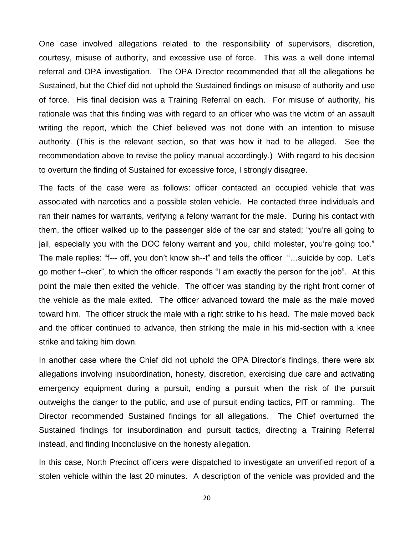One case involved allegations related to the responsibility of supervisors, discretion, courtesy, misuse of authority, and excessive use of force. This was a well done internal referral and OPA investigation. The OPA Director recommended that all the allegations be Sustained, but the Chief did not uphold the Sustained findings on misuse of authority and use of force. His final decision was a Training Referral on each. For misuse of authority, his rationale was that this finding was with regard to an officer who was the victim of an assault writing the report, which the Chief believed was not done with an intention to misuse authority. (This is the relevant section, so that was how it had to be alleged. See the recommendation above to revise the policy manual accordingly.) With regard to his decision to overturn the finding of Sustained for excessive force, I strongly disagree.

The facts of the case were as follows: officer contacted an occupied vehicle that was associated with narcotics and a possible stolen vehicle. He contacted three individuals and ran their names for warrants, verifying a felony warrant for the male. During his contact with them, the officer walked up to the passenger side of the car and stated; "you're all going to jail, especially you with the DOC felony warrant and you, child molester, you're going too." The male replies: "f--- off, you don't know sh--t" and tells the officer "…suicide by cop. Let's go mother f--cker", to which the officer responds "I am exactly the person for the job". At this point the male then exited the vehicle. The officer was standing by the right front corner of the vehicle as the male exited. The officer advanced toward the male as the male moved toward him. The officer struck the male with a right strike to his head. The male moved back and the officer continued to advance, then striking the male in his mid-section with a knee strike and taking him down.

In another case where the Chief did not uphold the OPA Director's findings, there were six allegations involving insubordination, honesty, discretion, exercising due care and activating emergency equipment during a pursuit, ending a pursuit when the risk of the pursuit outweighs the danger to the public, and use of pursuit ending tactics, PIT or ramming. The Director recommended Sustained findings for all allegations. The Chief overturned the Sustained findings for insubordination and pursuit tactics, directing a Training Referral instead, and finding Inconclusive on the honesty allegation.

In this case, North Precinct officers were dispatched to investigate an unverified report of a stolen vehicle within the last 20 minutes. A description of the vehicle was provided and the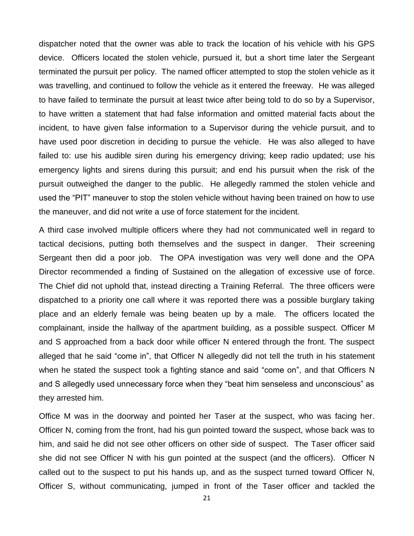dispatcher noted that the owner was able to track the location of his vehicle with his GPS device. Officers located the stolen vehicle, pursued it, but a short time later the Sergeant terminated the pursuit per policy. The named officer attempted to stop the stolen vehicle as it was travelling, and continued to follow the vehicle as it entered the freeway. He was alleged to have failed to terminate the pursuit at least twice after being told to do so by a Supervisor, to have written a statement that had false information and omitted material facts about the incident, to have given false information to a Supervisor during the vehicle pursuit, and to have used poor discretion in deciding to pursue the vehicle. He was also alleged to have failed to: use his audible siren during his emergency driving; keep radio updated; use his emergency lights and sirens during this pursuit; and end his pursuit when the risk of the pursuit outweighed the danger to the public. He allegedly rammed the stolen vehicle and used the "PIT" maneuver to stop the stolen vehicle without having been trained on how to use the maneuver, and did not write a use of force statement for the incident.

A third case involved multiple officers where they had not communicated well in regard to tactical decisions, putting both themselves and the suspect in danger. Their screening Sergeant then did a poor job. The OPA investigation was very well done and the OPA Director recommended a finding of Sustained on the allegation of excessive use of force. The Chief did not uphold that, instead directing a Training Referral. The three officers were dispatched to a priority one call where it was reported there was a possible burglary taking place and an elderly female was being beaten up by a male. The officers located the complainant, inside the hallway of the apartment building, as a possible suspect. Officer M and S approached from a back door while officer N entered through the front. The suspect alleged that he said "come in", that Officer N allegedly did not tell the truth in his statement when he stated the suspect took a fighting stance and said "come on", and that Officers N and S allegedly used unnecessary force when they "beat him senseless and unconscious" as they arrested him.

Office M was in the doorway and pointed her Taser at the suspect, who was facing her. Officer N, coming from the front, had his gun pointed toward the suspect, whose back was to him, and said he did not see other officers on other side of suspect. The Taser officer said she did not see Officer N with his gun pointed at the suspect (and the officers). Officer N called out to the suspect to put his hands up, and as the suspect turned toward Officer N, Officer S, without communicating, jumped in front of the Taser officer and tackled the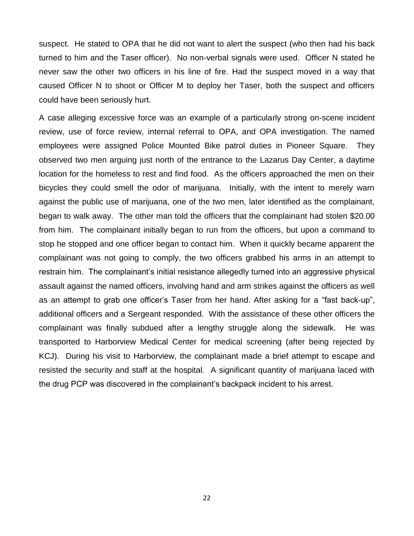suspect. He stated to OPA that he did not want to alert the suspect (who then had his back turned to him and the Taser officer). No non-verbal signals were used. Officer N stated he never saw the other two officers in his line of fire. Had the suspect moved in a way that caused Officer N to shoot or Officer M to deploy her Taser, both the suspect and officers could have been seriously hurt.

A case alleging excessive force was an example of a particularly strong on-scene incident review, use of force review, internal referral to OPA, and OPA investigation. The named employees were assigned Police Mounted Bike patrol duties in Pioneer Square. They observed two men arguing just north of the entrance to the Lazarus Day Center, a daytime location for the homeless to rest and find food. As the officers approached the men on their bicycles they could smell the odor of marijuana. Initially, with the intent to merely warn against the public use of marijuana, one of the two men, later identified as the complainant, began to walk away. The other man told the officers that the complainant had stolen \$20.00 from him. The complainant initially began to run from the officers, but upon a command to stop he stopped and one officer began to contact him. When it quickly became apparent the complainant was not going to comply, the two officers grabbed his arms in an attempt to restrain him. The complainant's initial resistance allegedly turned into an aggressive physical assault against the named officers, involving hand and arm strikes against the officers as well as an attempt to grab one officer's Taser from her hand. After asking for a "fast back-up", additional officers and a Sergeant responded. With the assistance of these other officers the complainant was finally subdued after a lengthy struggle along the sidewalk. He was transported to Harborview Medical Center for medical screening (after being rejected by KCJ). During his visit to Harborview, the complainant made a brief attempt to escape and resisted the security and staff at the hospital. A significant quantity of marijuana laced with the drug PCP was discovered in the complainant's backpack incident to his arrest.